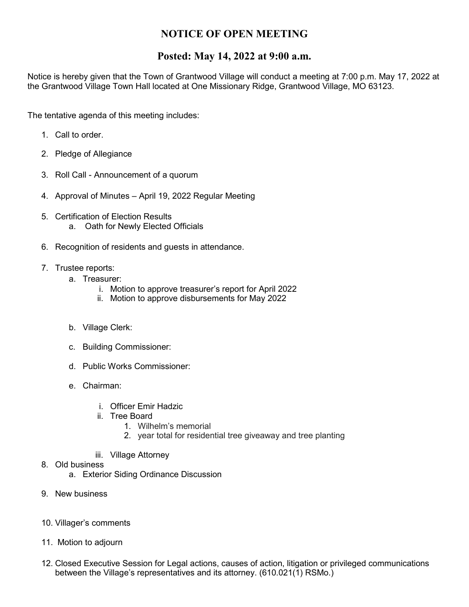## **NOTICE OF OPEN MEETING**

## **Posted: May 14, 2022 at 9:00 a.m.**

Notice is hereby given that the Town of Grantwood Village will conduct a meeting at 7:00 p.m. May 17, 2022 at the Grantwood Village Town Hall located at One Missionary Ridge, Grantwood Village, MO 63123.

The tentative agenda of this meeting includes:

- 1. Call to order.
- 2. Pledge of Allegiance
- 3. Roll Call Announcement of a quorum
- 4. Approval of Minutes April 19, 2022 Regular Meeting
- 5. Certification of Election Results a. Oath for Newly Elected Officials
- 6. Recognition of residents and guests in attendance.
- 7. Trustee reports:
	- a. Treasurer:
		- i. Motion to approve treasurer's report for April 2022
		- ii. Motion to approve disbursements for May 2022
	- b. Village Clerk:
	- c. Building Commissioner:
	- d. Public Works Commissioner:
	- e. Chairman:
		- i. Officer Emir Hadzic
		- ii. Tree Board
			- 1. Wilhelm's memorial
			- 2. year total for residential tree giveaway and tree planting
		- iii. Village Attorney
- 8. Old business
	- a. Exterior Siding Ordinance Discussion
- 9. New business
- 10. Villager's comments
- 11. Motion to adjourn
- 12. Closed Executive Session for Legal actions, causes of action, litigation or privileged communications between the Village's representatives and its attorney. (610.021(1) RSMo.)